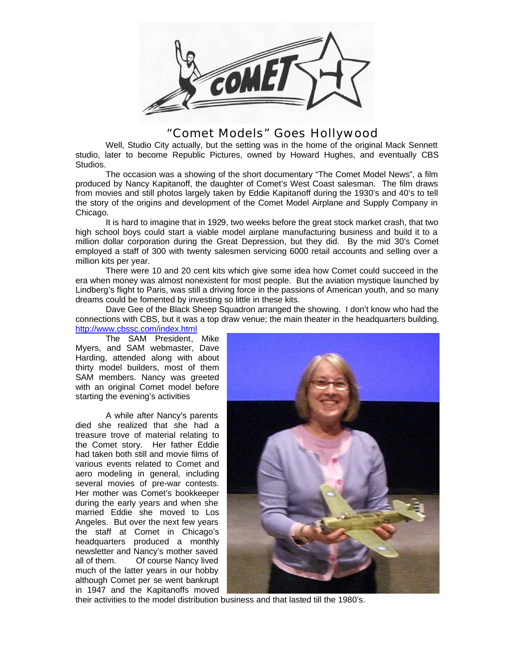

## "Comet Models" Goes Hollywood

Well, Studio City actually, but the setting was in the home of the original Mack Sennett studio, later to become Republic Pictures, owned by Howard Hughes, and eventually CBS Studios.

The occasion was a showing of the short documentary "The Comet Model News", a film produced by Nancy Kapitanoff, the daughter of Comet's West Coast salesman. The film draws from movies and still photos largely taken by Eddie Kapitanoff during the 1930's and 40's to tell the story of the origins and development of the Comet Model Airplane and Supply Company in Chicago.

It is hard to imagine that in 1929, two weeks before the great stock market crash, that two high school boys could start a viable model airplane manufacturing business and build it to a million dollar corporation during the Great Depression, but they did. By the mid 30's Comet employed a staff of 300 with twenty salesmen servicing 6000 retail accounts and selling over a million kits per year.

There were 10 and 20 cent kits which give some idea how Comet could succeed in the era when money was almost nonexistent for most people. But the aviation mystique launched by Lindberg's flight to Paris, was still a driving force in the passions of American youth, and so many dreams could be fomented by investing so little in these kits.

Dave Gee of the Black Sheep Squadron arranged the showing. I don't know who had the connections with CBS, but it was a top draw venue; the main theater in the headquarters building. http://www.cbssc.com/index.html

The SAM President, Mike Myers, and SAM webmaster, Dave Harding, attended along with about thirty model builders, most of them SAM members. Nancy was greeted with an original Comet model before starting the evening's activities

A while after Nancy's parents died she realized that she had a treasure trove of material relating to the Comet story. Her father Eddie had taken both still and movie films of various events related to Comet and aero modeling in general, including several movies of pre-war contests. Her mother was Comet's bookkeeper during the early years and when she married Eddie she moved to Los Angeles. But over the next few years the staff at Comet in Chicago's headquarters produced a monthly newsletter and Nancy's mother saved all of them. Of course Nancy lived much of the latter years in our hobby although Comet per se went bankrupt in 1947 and the Kapitanoffs moved



their activities to the model distribution business and that lasted till the 1980's.